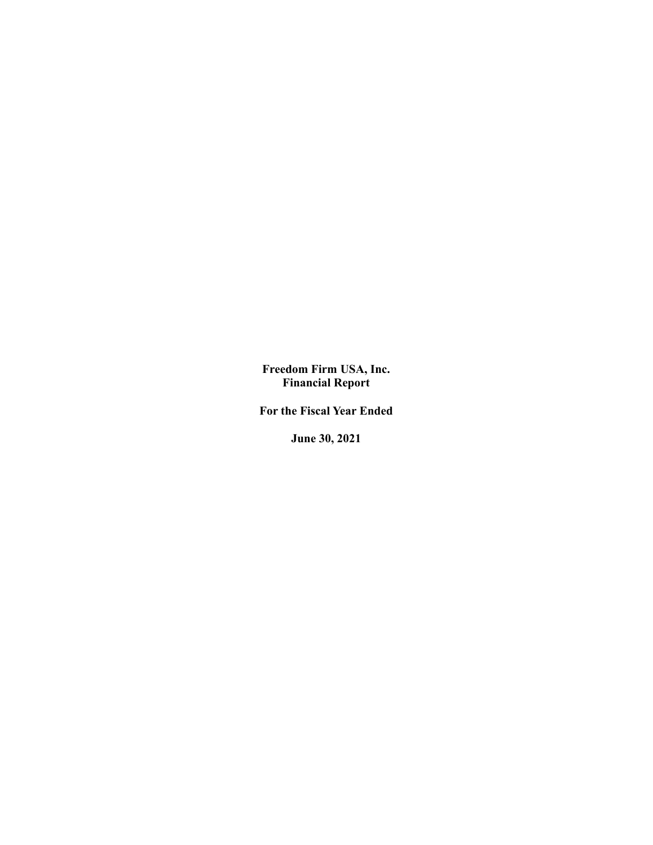**Freedom Firm USA, Inc. Financial Report** 

**For the Fiscal Year Ended** 

**June 30, 2021**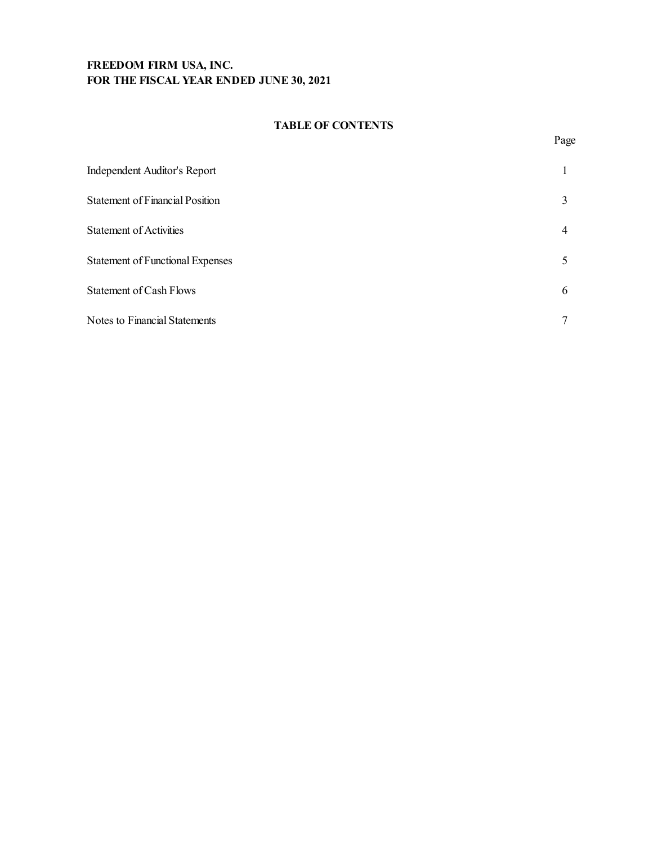# **FREEDOM FIRM USA, INC. FOR THE FISCAL YEAR ENDED JUNE 30, 2021**

# **TABLE OF CONTENTS**

Page

| <b>Independent Auditor's Report</b>     |   |
|-----------------------------------------|---|
| <b>Statement of Financial Position</b>  | 3 |
| <b>Statement of Activities</b>          | 4 |
| <b>Statement of Functional Expenses</b> | 5 |
| <b>Statement of Cash Flows</b>          | 6 |
| Notes to Financial Statements           |   |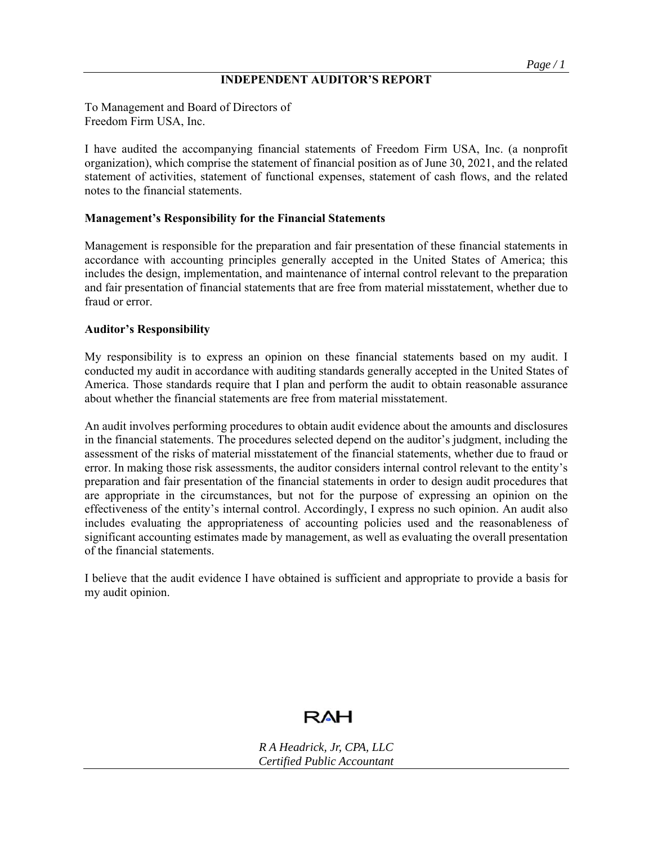# **INDEPENDENT AUDITOR'S REPORT**

To Management and Board of Directors of Freedom Firm USA, Inc.

I have audited the accompanying financial statements of Freedom Firm USA, Inc. (a nonprofit organization), which comprise the statement of financial position as of June 30, 2021, and the related statement of activities, statement of functional expenses, statement of cash flows, and the related notes to the financial statements.

## **Management's Responsibility for the Financial Statements**

Management is responsible for the preparation and fair presentation of these financial statements in accordance with accounting principles generally accepted in the United States of America; this includes the design, implementation, and maintenance of internal control relevant to the preparation and fair presentation of financial statements that are free from material misstatement, whether due to fraud or error.

## **Auditor's Responsibility**

My responsibility is to express an opinion on these financial statements based on my audit. I conducted my audit in accordance with auditing standards generally accepted in the United States of America. Those standards require that I plan and perform the audit to obtain reasonable assurance about whether the financial statements are free from material misstatement.

An audit involves performing procedures to obtain audit evidence about the amounts and disclosures in the financial statements. The procedures selected depend on the auditor's judgment, including the assessment of the risks of material misstatement of the financial statements, whether due to fraud or error. In making those risk assessments, the auditor considers internal control relevant to the entity's preparation and fair presentation of the financial statements in order to design audit procedures that are appropriate in the circumstances, but not for the purpose of expressing an opinion on the effectiveness of the entity's internal control. Accordingly, I express no such opinion. An audit also includes evaluating the appropriateness of accounting policies used and the reasonableness of significant accounting estimates made by management, as well as evaluating the overall presentation of the financial statements.

I believe that the audit evidence I have obtained is sufficient and appropriate to provide a basis for my audit opinion.



*R A Headrick, Jr, CPA, LLC Certified Public Accountant*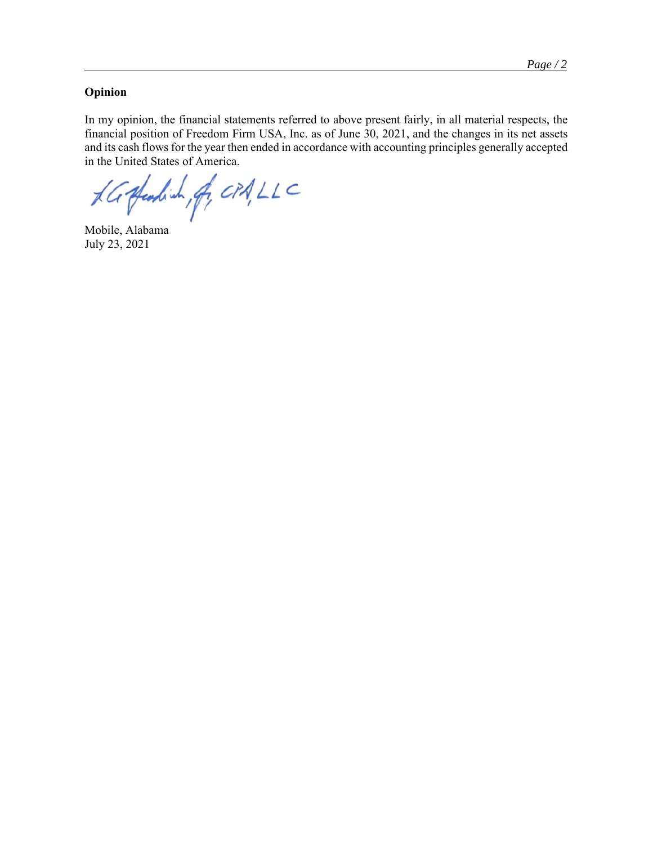### **Opinion**

In my opinion, the financial statements referred to above present fairly, in all material respects, the financial position of Freedom Firm USA, Inc. as of June 30, 2021, and the changes in its net assets and its cash flows for the year then ended in accordance with accounting principles generally accepted in the United States of America.

KG Aushich, for CPA, LLC

Mobile, Alabama July 23, 2021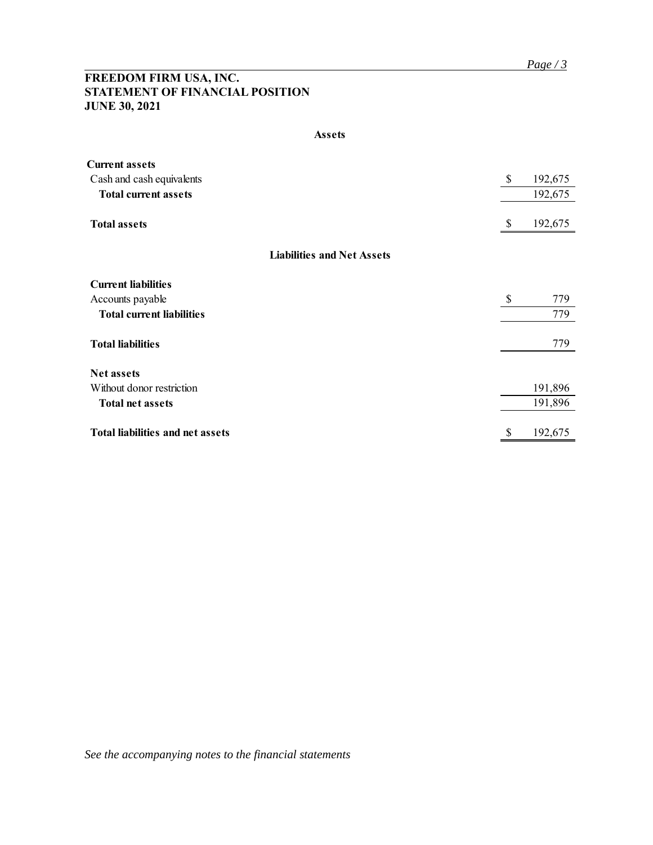## **FREEDOM FIRM USA, INC. STATEMENT OF FINANCIAL POSITION JUNE 30, 2021**

**Assets**

| <b>Current assets</b>                   |               |         |
|-----------------------------------------|---------------|---------|
| Cash and cash equivalents               | \$            | 192,675 |
| <b>Total current assets</b>             |               | 192,675 |
| <b>Total assets</b>                     | $\mathcal{S}$ | 192,675 |
| <b>Liabilities and Net Assets</b>       |               |         |
| <b>Current liabilities</b>              |               |         |
| Accounts payable                        | \$            | 779     |
| <b>Total current liabilities</b>        |               | 779     |
| <b>Total liabilities</b>                |               | 779     |
| <b>Net assets</b>                       |               |         |
| Without donor restriction               |               | 191,896 |
| <b>Total net assets</b>                 |               | 191,896 |
| <b>Total liabilities and net assets</b> |               | 192,675 |

*See the accompanying notes to the financial statements*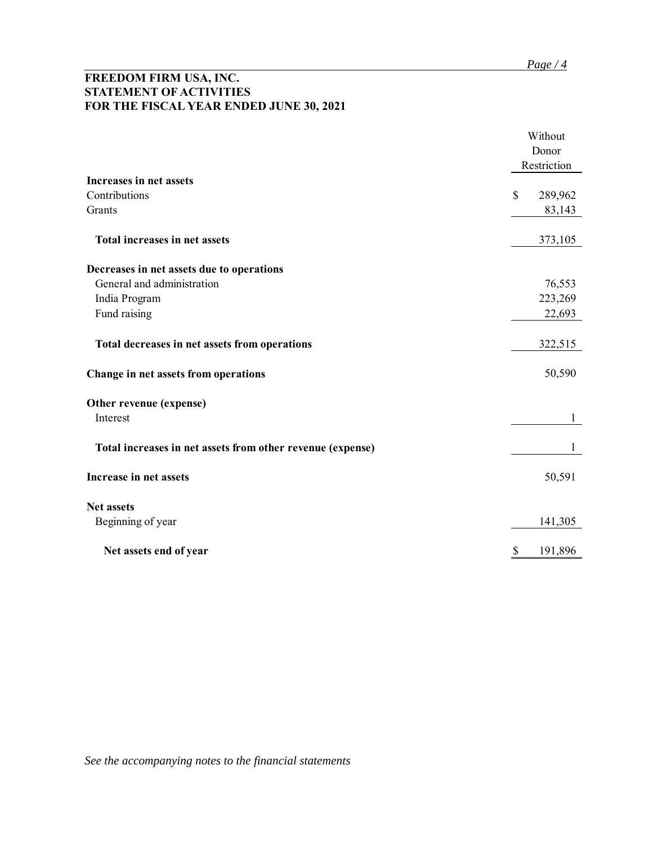# **FREEDOM FIRM USA, INC. STATEMENT OF ACTIVITIES FOR THE FISCAL YEAR ENDED JUNE 30, 2021**

|                                                            | Without       |              |  |
|------------------------------------------------------------|---------------|--------------|--|
|                                                            |               | Donor        |  |
|                                                            |               | Restriction  |  |
| Increases in net assets                                    |               |              |  |
| Contributions                                              | $\mathcal{S}$ | 289,962      |  |
| Grants                                                     |               | 83,143       |  |
| Total increases in net assets                              |               | 373,105      |  |
| Decreases in net assets due to operations                  |               |              |  |
| General and administration                                 |               | 76,553       |  |
| India Program                                              |               | 223,269      |  |
| Fund raising                                               |               | 22,693       |  |
| Total decreases in net assets from operations              |               | 322,515      |  |
| Change in net assets from operations                       |               | 50,590       |  |
| Other revenue (expense)<br>Interest                        |               | 1            |  |
| Total increases in net assets from other revenue (expense) |               | $\mathbf{1}$ |  |
| Increase in net assets                                     |               | 50,591       |  |
| <b>Net assets</b>                                          |               |              |  |
| Beginning of year                                          |               | 141,305      |  |
| Net assets end of year                                     | \$            | 191,896      |  |

*See the accompanying notes to the financial statements*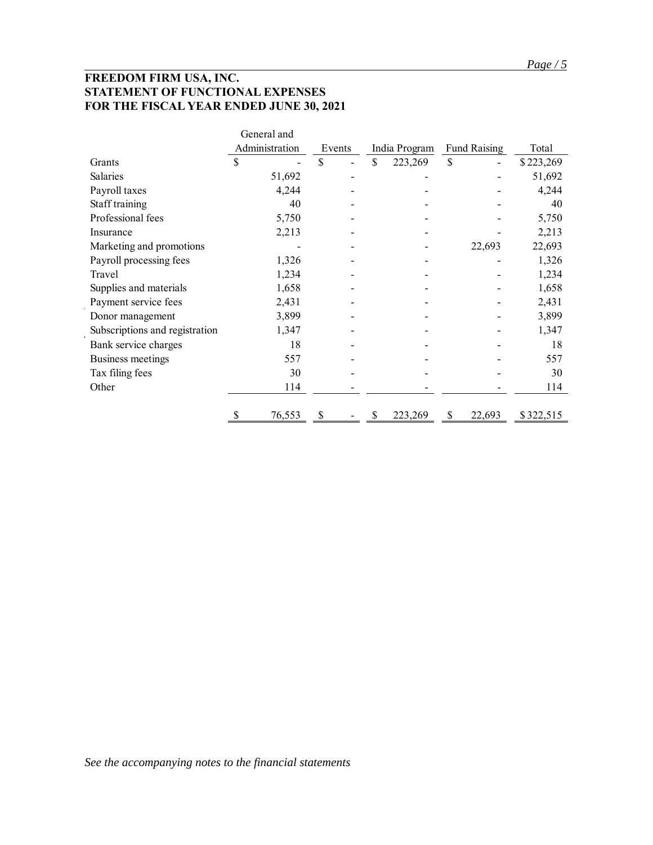# **FREEDOM FIRM USA, INC. STATEMENT OF FUNCTIONAL EXPENSES FOR THE FISCAL YEAR ENDED JUNE 30, 2021**

|                                | General and    |        |               |         |              |        |           |
|--------------------------------|----------------|--------|---------------|---------|--------------|--------|-----------|
|                                | Administration | Events | India Program |         | Fund Raising |        | Total     |
| Grants                         | \$             | \$     | \$            | 223,269 | \$           |        | \$223,269 |
| Salaries                       | 51,692         |        |               |         |              |        | 51,692    |
| Payroll taxes                  | 4,244          |        |               |         |              |        | 4,244     |
| Staff training                 | 40             |        |               |         |              |        | 40        |
| Professional fees              | 5,750          |        |               |         |              |        | 5,750     |
| Insurance                      | 2,213          |        |               |         |              |        | 2,213     |
| Marketing and promotions       |                |        |               |         |              | 22,693 | 22,693    |
| Payroll processing fees        | 1,326          |        |               |         |              |        | 1,326     |
| Travel                         | 1,234          |        |               |         |              |        | 1,234     |
| Supplies and materials         | 1,658          |        |               |         |              |        | 1,658     |
| Payment service fees           | 2,431          |        |               |         |              |        | 2,431     |
| Donor management               | 3,899          |        |               |         |              |        | 3,899     |
| Subscriptions and registration | 1,347          |        |               |         |              |        | 1,347     |
| Bank service charges           | 18             |        |               |         |              |        | 18        |
| Business meetings              | 557            |        |               |         |              |        | 557       |
| Tax filing fees                | 30             |        |               |         |              |        | 30        |
| Other                          | 114            |        |               |         |              |        | 114       |
|                                |                |        |               |         |              |        |           |
|                                | \$<br>76,553   | \$     | \$            | 223,269 | \$           | 22,693 | \$322,515 |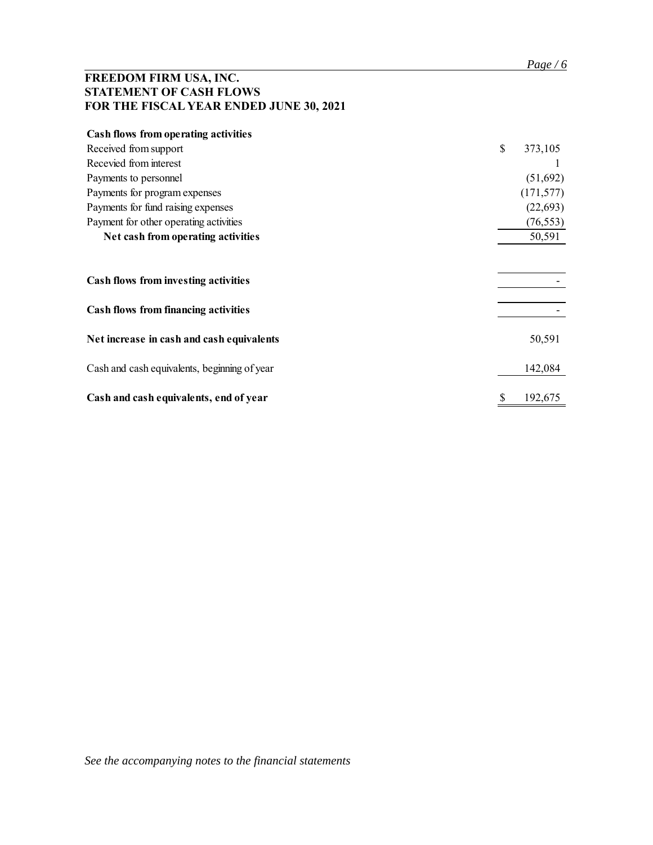## **FREEDOM FIRM USA, INC. STATEMENT OF CASH FLOWS FOR THE FISCAL YEAR ENDED JUNE 30, 2021**

| Cash flows from operating activities         |               |
|----------------------------------------------|---------------|
| Received from support                        | \$<br>373,105 |
| Recevied from interest                       |               |
| Payments to personnel                        | (51,692)      |
| Payments for program expenses                | (171, 577)    |
| Payments for fund raising expenses           | (22, 693)     |
| Payment for other operating activities       | (76, 553)     |
| Net cash from operating activities           | 50,591        |
| Cash flows from investing activities         |               |
| <b>Cash flows from financing activities</b>  |               |
| Net increase in cash and cash equivalents    | 50,591        |
| Cash and cash equivalents, beginning of year | 142,084       |
| Cash and cash equivalents, end of year       | 192,675       |

*See the accompanying notes to the financial statements*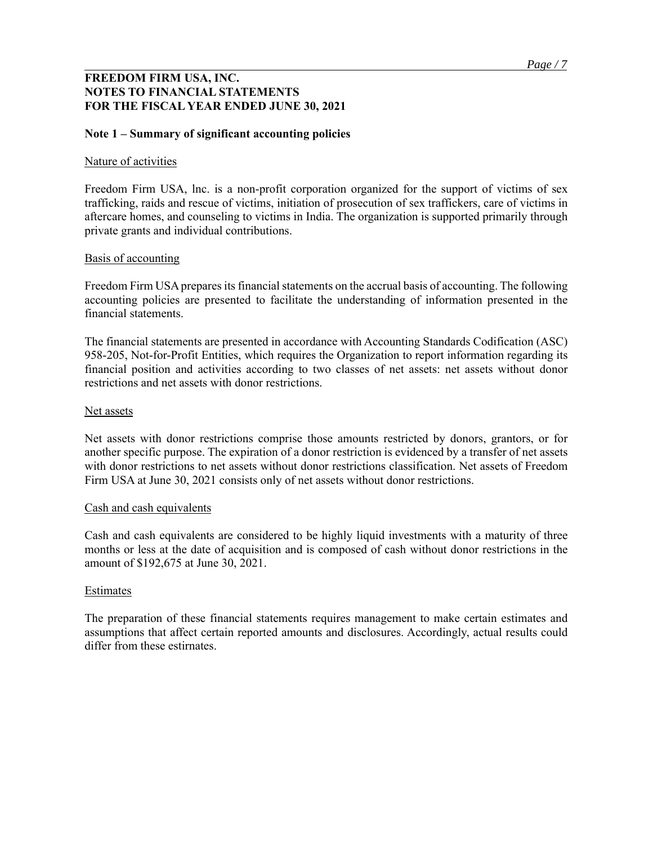## **FREEDOM FIRM USA, INC. NOTES TO FINANCIAL STATEMENTS FOR THE FISCAL YEAR ENDED JUNE 30, 2021**

## **Note 1 – Summary of significant accounting policies**

#### Nature of activities

Freedom Firm USA, lnc. is a non-profit corporation organized for the support of victims of sex trafficking, raids and rescue of victims, initiation of prosecution of sex traffickers, care of victims in aftercare homes, and counseling to victims in India. The organization is supported primarily through private grants and individual contributions.

#### Basis of accounting

Freedom Firm USA prepares its financial statements on the accrual basis of accounting. The following accounting policies are presented to facilitate the understanding of information presented in the financial statements.

The financial statements are presented in accordance with Accounting Standards Codification (ASC) 958-205, Not-for-Profit Entities, which requires the Organization to report information regarding its financial position and activities according to two classes of net assets: net assets without donor restrictions and net assets with donor restrictions.

#### Net assets

Net assets with donor restrictions comprise those amounts restricted by donors, grantors, or for another specific purpose. The expiration of a donor restriction is evidenced by a transfer of net assets with donor restrictions to net assets without donor restrictions classification. Net assets of Freedom Firm USA at June 30, 2021 consists only of net assets without donor restrictions.

## Cash and cash equivalents

Cash and cash equivalents are considered to be highly liquid investments with a maturity of three months or less at the date of acquisition and is composed of cash without donor restrictions in the amount of \$192,675 at June 30, 2021.

## Estimates

The preparation of these financial statements requires management to make certain estimates and assumptions that affect certain reported amounts and disclosures. Accordingly, actual results could differ from these estirnates.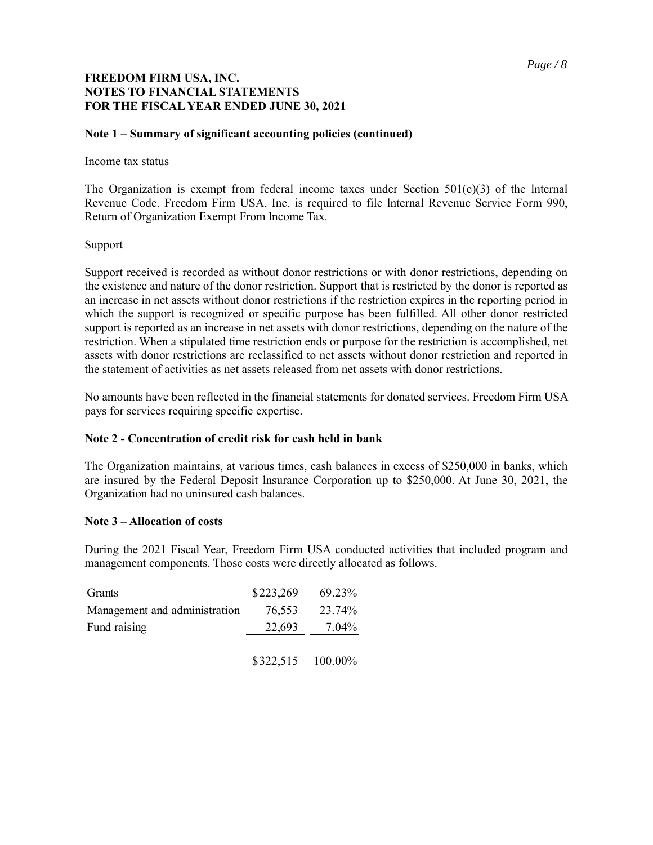## **FREEDOM FIRM USA, INC. NOTES TO FINANCIAL STATEMENTS FOR THE FISCAL YEAR ENDED JUNE 30, 2021**

## **Note 1 – Summary of significant accounting policies (continued)**

#### Income tax status

The Organization is exempt from federal income taxes under Section  $501(c)(3)$  of the Internal Revenue Code. Freedom Firm USA, Inc. is required to file lnternal Revenue Service Form 990, Return of Organization Exempt From lncome Tax.

## Support

Support received is recorded as without donor restrictions or with donor restrictions, depending on the existence and nature of the donor restriction. Support that is restricted by the donor is reported as an increase in net assets without donor restrictions if the restriction expires in the reporting period in which the support is recognized or specific purpose has been fulfilled. All other donor restricted support is reported as an increase in net assets with donor restrictions, depending on the nature of the restriction. When a stipulated time restriction ends or purpose for the restriction is accomplished, net assets with donor restrictions are reclassified to net assets without donor restriction and reported in the statement of activities as net assets released from net assets with donor restrictions.

No amounts have been reflected in the financial statements for donated services. Freedom Firm USA pays for services requiring specific expertise.

## **Note 2 - Concentration of credit risk for cash held in bank**

The Organization maintains, at various times, cash balances in excess of \$250,000 in banks, which are insured by the Federal Deposit lnsurance Corporation up to \$250,000. At June 30, 2021, the Organization had no uninsured cash balances.

## **Note 3 – Allocation of costs**

During the 2021 Fiscal Year, Freedom Firm USA conducted activities that included program and management components. Those costs were directly allocated as follows.

| Grants                        | \$223,269         | 69.23% |
|-------------------------------|-------------------|--------|
| Management and administration | 76,553            | 23.74% |
| Fund raising                  | 22,693            | 7.04%  |
|                               | \$322,515 100.00% |        |